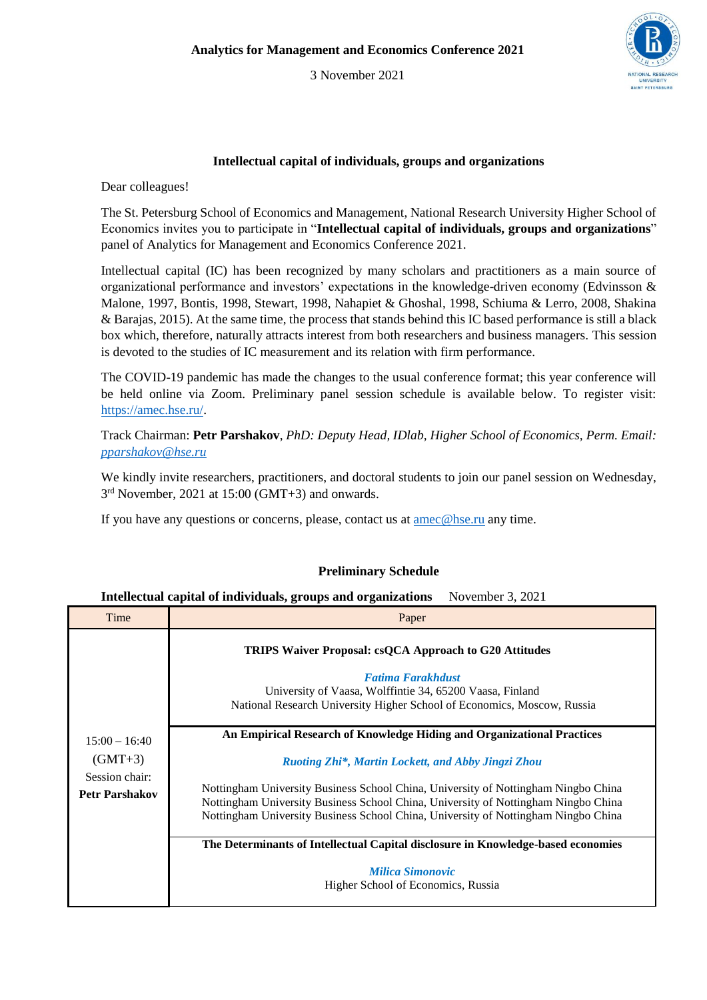3 November 2021



## **Intellectual capital of individuals, groups and organizations**

Dear colleagues!

The St. Petersburg School of Economics and Management, National Research University Higher School of Economics invites you to participate in "**Intellectual capital of individuals, groups and organizations**" panel of Analytics for Management and Economics Conference 2021.

Intellectual capital (IC) has been recognized by many scholars and practitioners as a main source of organizational performance and investors' expectations in the knowledge-driven economy (Edvinsson & Malone, 1997, Bontis, 1998, Stewart, 1998, Nahapiet & Ghoshal, 1998, Schiuma & Lerro, 2008, Shakina & Barajas, 2015). At the same time, the process that stands behind this IC based performance is still a black box which, therefore, naturally attracts interest from both researchers and business managers. This session is devoted to the studies of IC measurement and its relation with firm performance.

The COVID-19 pandemic has made the changes to the usual conference format; this year conference will be held online via Zoom. Preliminary panel session schedule is available below. To register visit: [https://amec.hse.ru/.](https://amec.hse.ru/)

Track Chairman: **Petr Parshakov**, *PhD: Deputy Head, IDlab, Higher School of Economics, Perm. Email: [pparshakov@hse.ru](mailto:pparshakov@hse.ru)*

We kindly invite researchers, practitioners, and doctoral students to join our panel session on Wednesday, 3<sup>rd</sup> November, 2021 at 15:00 (GMT+3) and onwards.

If you have any questions or concerns, please, contact us at [amec@hse.ru](mailto:amec@hse.ru) any time.

## **Preliminary Schedule**

## **Intellectual capital of individuals, groups and organizations** November 3, 2021

| Time                                                                    | Paper                                                                                                                                                                                                                                                                                                                                                                                          |
|-------------------------------------------------------------------------|------------------------------------------------------------------------------------------------------------------------------------------------------------------------------------------------------------------------------------------------------------------------------------------------------------------------------------------------------------------------------------------------|
| $15:00 - 16:40$<br>$(GMT+3)$<br>Session chair:<br><b>Petr Parshakov</b> | <b>TRIPS Waiver Proposal: csQCA Approach to G20 Attitudes</b><br><b>Fatima Farakhdust</b><br>University of Vaasa, Wolffintie 34, 65200 Vaasa, Finland<br>National Research University Higher School of Economics, Moscow, Russia                                                                                                                                                               |
|                                                                         | An Empirical Research of Knowledge Hiding and Organizational Practices<br>Ruoting Zhi*, Martin Lockett, and Abby Jingzi Zhou<br>Nottingham University Business School China, University of Nottingham Ningbo China<br>Nottingham University Business School China, University of Nottingham Ningbo China<br>Nottingham University Business School China, University of Nottingham Ningbo China |
|                                                                         | The Determinants of Intellectual Capital disclosure in Knowledge-based economies                                                                                                                                                                                                                                                                                                               |
|                                                                         | <b>Milica Simonovic</b><br>Higher School of Economics, Russia                                                                                                                                                                                                                                                                                                                                  |